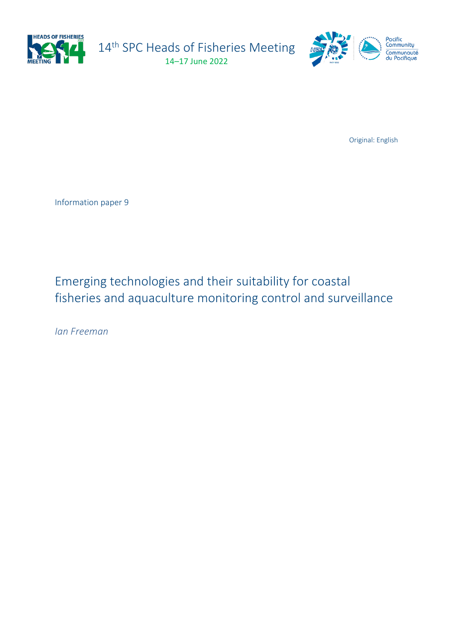

14<sup>th</sup> SPC Heads of Fisheries Meeting 14–17 June 2022



Original: English

Information paper 9

## Emerging technologies and their suitability for coastal fisheries and aquaculture monitoring control and surveillance

*Ian Freeman*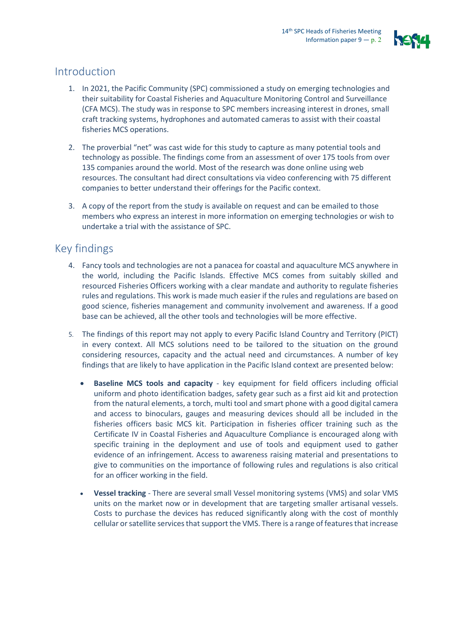

## Introduction

- 1. In 2021, the Pacific Community (SPC) commissioned a study on emerging technologies and their suitability for Coastal Fisheries and Aquaculture Monitoring Control and Surveillance (CFA MCS). The study was in response to SPC members increasing interest in drones, small craft tracking systems, hydrophones and automated cameras to assist with their coastal fisheries MCS operations.
- 2. The proverbial "net" was cast wide for this study to capture as many potential tools and technology as possible. The findings come from an assessment of over 175 tools from over 135 companies around the world. Most of the research was done online using web resources. The consultant had direct consultations via video conferencing with 75 different companies to better understand their offerings for the Pacific context.
- 3. A copy of the report from the study is available on request and can be emailed to those members who express an interest in more information on emerging technologies or wish to undertake a trial with the assistance of SPC.

## Key findings

- 4. Fancy tools and technologies are not a panacea for coastal and aquaculture MCS anywhere in the world, including the Pacific Islands. Effective MCS comes from suitably skilled and resourced Fisheries Officers working with a clear mandate and authority to regulate fisheries rules and regulations. This work is made much easier if the rules and regulations are based on good science, fisheries management and community involvement and awareness. If a good base can be achieved, all the other tools and technologies will be more effective.
- 5. The findings of this report may not apply to every Pacific Island Country and Territory (PICT) in every context. All MCS solutions need to be tailored to the situation on the ground considering resources, capacity and the actual need and circumstances. A number of key findings that are likely to have application in the Pacific Island context are presented below:
	- **Baseline MCS tools and capacity** key equipment for field officers including official uniform and photo identification badges, safety gear such as a first aid kit and protection from the natural elements, a torch, multi tool and smart phone with a good digital camera and access to binoculars, gauges and measuring devices should all be included in the fisheries officers basic MCS kit. Participation in fisheries officer training such as the Certificate IV in Coastal Fisheries and Aquaculture Compliance is encouraged along with specific training in the deployment and use of tools and equipment used to gather evidence of an infringement. Access to awareness raising material and presentations to give to communities on the importance of following rules and regulations is also critical for an officer working in the field.
	- **Vessel tracking** There are several small Vessel monitoring systems (VMS) and solar VMS units on the market now or in development that are targeting smaller artisanal vessels. Costs to purchase the devices has reduced significantly along with the cost of monthly cellular or satellite services that support the VMS. There is a range of features that increase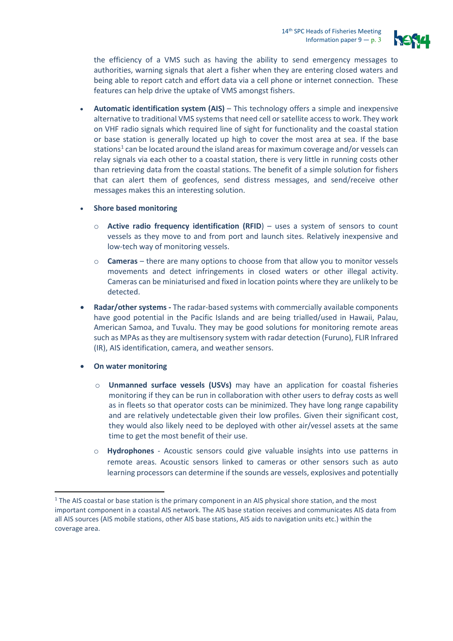

the efficiency of a VMS such as having the ability to send emergency messages to authorities, warning signals that alert a fisher when they are entering closed waters and being able to report catch and effort data via a cell phone or internet connection.  These features can help drive the uptake of VMS amongst fishers.

- **Automatic identification system (AIS)** This technology offers a simple and inexpensive alternative to traditional VMS systems that need cell or satellite access to work. They work on VHF radio signals which required line of sight for functionality and the coastal station or base station is generally located up high to cover the most area at sea. If the base stations<sup>[1](#page-2-0)</sup> can be located around the island areas for maximum coverage and/or vessels can relay signals via each other to a coastal station, there is very little in running costs other than retrieving data from the coastal stations. The benefit of a simple solution for fishers that can alert them of geofences, send distress messages, and send/receive other messages makes this an interesting solution.
- **Shore based monitoring** 
	- o **Active radio frequency identification (RFID**) uses a system of sensors to count vessels as they move to and from port and launch sites. Relatively inexpensive and low-tech way of monitoring vessels.
	- o **Cameras** there are many options to choose from that allow you to monitor vessels movements and detect infringements in closed waters or other illegal activity. Cameras can be miniaturised and fixed in location points where they are unlikely to be detected.
- **Radar/other systems -** The radar-based systems with commercially available components have good potential in the Pacific Islands and are being trialled/used in Hawaii, Palau, American Samoa, and Tuvalu. They may be good solutions for monitoring remote areas such as MPAs as they are multisensory system with radar detection (Furuno), FLIR Infrared (IR), AIS identification, camera, and weather sensors.
- **On water monitoring**
	- o **Unmanned surface vessels (USVs)** may have an application for coastal fisheries monitoring if they can be run in collaboration with other users to defray costs as well as in fleets so that operator costs can be minimized. They have long range capability and are relatively undetectable given their low profiles. Given their significant cost, they would also likely need to be deployed with other air/vessel assets at the same time to get the most benefit of their use.
	- o **Hydrophones** Acoustic sensors could give valuable insights into use patterns in remote areas. Acoustic sensors linked to cameras or other sensors such as auto learning processors can determine if the sounds are vessels, explosives and potentially

<span id="page-2-0"></span> $1$  The AIS coastal or base station is the primary component in an AIS physical shore station, and the most important component in a coastal AIS network. The AIS base station receives and communicates AIS data from all AIS sources (AIS mobile stations, other AIS base stations, AIS aids to navigation units etc.) within the coverage area.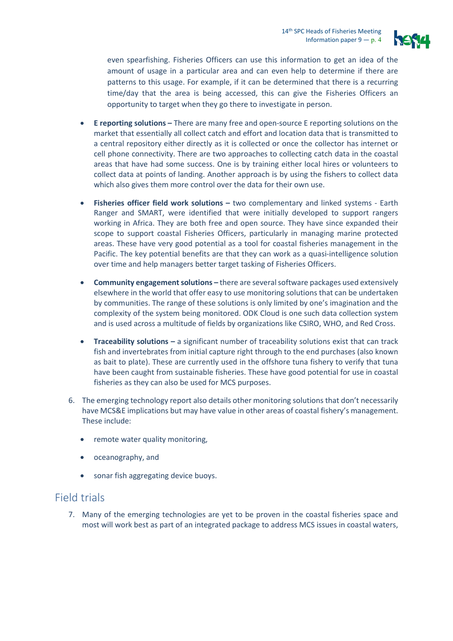

even spearfishing. Fisheries Officers can use this information to get an idea of the amount of usage in a particular area and can even help to determine if there are patterns to this usage. For example, if it can be determined that there is a recurring time/day that the area is being accessed, this can give the Fisheries Officers an opportunity to target when they go there to investigate in person.

- **E reporting solutions –** There are many free and open-source E reporting solutions on the market that essentially all collect catch and effort and location data that is transmitted to a central repository either directly as it is collected or once the collector has internet or cell phone connectivity. There are two approaches to collecting catch data in the coastal areas that have had some success. One is by training either local hires or volunteers to collect data at points of landing. Another approach is by using the fishers to collect data which also gives them more control over the data for their own use.
- **Fisheries officer field work solutions –** two complementary and linked systems Earth Ranger and SMART, were identified that were initially developed to support rangers working in Africa. They are both free and open source. They have since expanded their scope to support coastal Fisheries Officers, particularly in managing marine protected areas. These have very good potential as a tool for coastal fisheries management in the Pacific. The key potential benefits are that they can work as a quasi-intelligence solution over time and help managers better target tasking of Fisheries Officers.
- **Community engagement solutions –** there are several software packages used extensively elsewhere in the world that offer easy to use monitoring solutions that can be undertaken by communities. The range of these solutions is only limited by one's imagination and the complexity of the system being monitored. ODK Cloud is one such data collection system and is used across a multitude of fields by organizations like CSIRO, WHO, and Red Cross.
- **Traceability solutions –** a significant number of traceability solutions exist that can track fish and invertebrates from initial capture right through to the end purchases (also known as bait to plate). These are currently used in the offshore tuna fishery to verify that tuna have been caught from sustainable fisheries. These have good potential for use in coastal fisheries as they can also be used for MCS purposes.
- 6. The emerging technology report also details other monitoring solutions that don't necessarily have MCS&E implications but may have value in other areas of coastal fishery's management. These include:
	- remote water quality monitoring,
	- oceanography, and
	- sonar fish aggregating device buoys.

## Field trials

7. Many of the emerging technologies are yet to be proven in the coastal fisheries space and most will work best as part of an integrated package to address MCS issues in coastal waters,